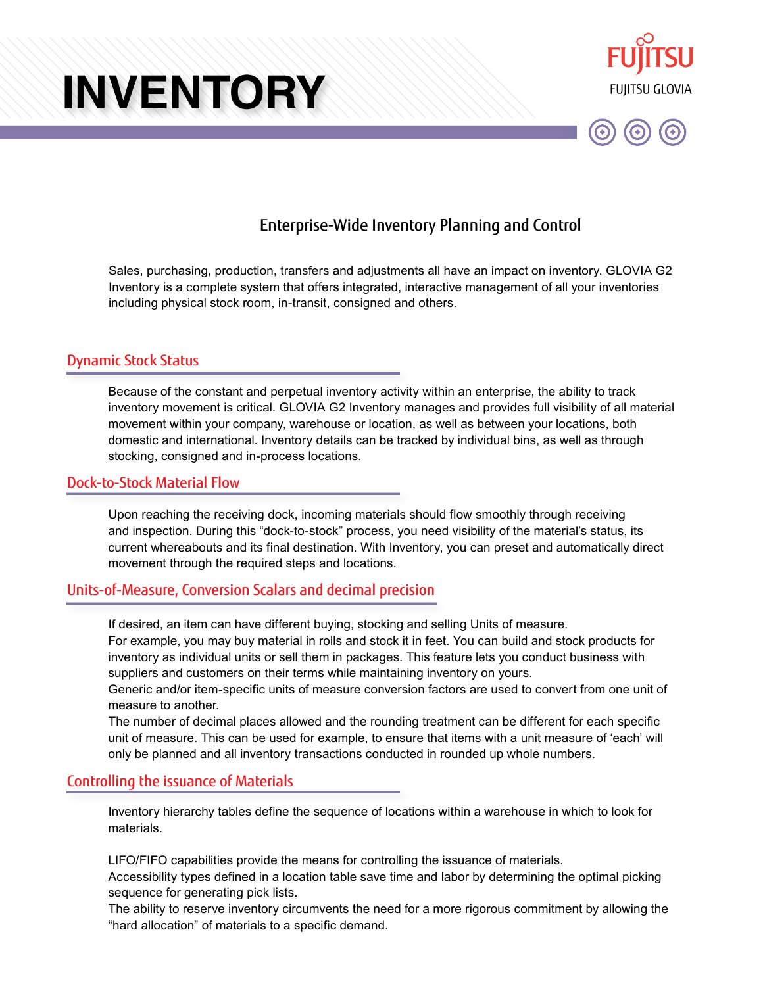



# Enterprise-Wide Inventory Planning and Control

Sales, purchasing, production, transfers and adjustments all have an impact on inventory. GLOVIA G2 Inventory is a complete system that offers integrated, interactive management of all your inventories including physical stock room, in-transit, consigned and others.

### Dynamic Stock Status

Because of the constant and perpetual inventory activity within an enterprise, the ability to track inventory movement is critical. GLOVIA G2 Inventory manages and provides full visibility of all material movement within your company, warehouse or location, as well as between your locations, both domestic and international. Inventory details can be tracked by individual bins, as well as through stocking, consigned and in-process locations.

#### Dock-to-Stock Material Flow

Upon reaching the receiving dock, incoming materials should flow smoothly through receiving and inspection. During this "dock-to-stock" process, you need visibility of the material's status, its current whereabouts and its final destination. With Inventory, you can preset and automatically direct movement through the required steps and locations.

## Units-of-Measure, Conversion Scalars and decimal precision

If desired, an item can have different buying, stocking and selling Units of measure.

For example, you may buy material in rolls and stock it in feet. You can build and stock products for inventory as individual units or sell them in packages. This feature lets you conduct business with suppliers and customers on their terms while maintaining inventory on yours.

Generic and/or item-specific units of measure conversion factors are used to convert from one unit of measure to another.

The number of decimal places allowed and the rounding treatment can be different for each specific unit of measure. This can be used for example, to ensure that items with a unit measure of 'each' will only be planned and all inventory transactions conducted in rounded up whole numbers.

### Controlling the issuance of Materials

Inventory hierarchy tables define the sequence of locations within a warehouse in which to look for materials.

LIFO/FIFO capabilities provide the means for controlling the issuance of materials.

Accessibility types defined in a location table save time and labor by determining the optimal picking sequence for generating pick lists.

The ability to reserve inventory circumvents the need for a more rigorous commitment by allowing the "hard allocation" of materials to a specific demand.